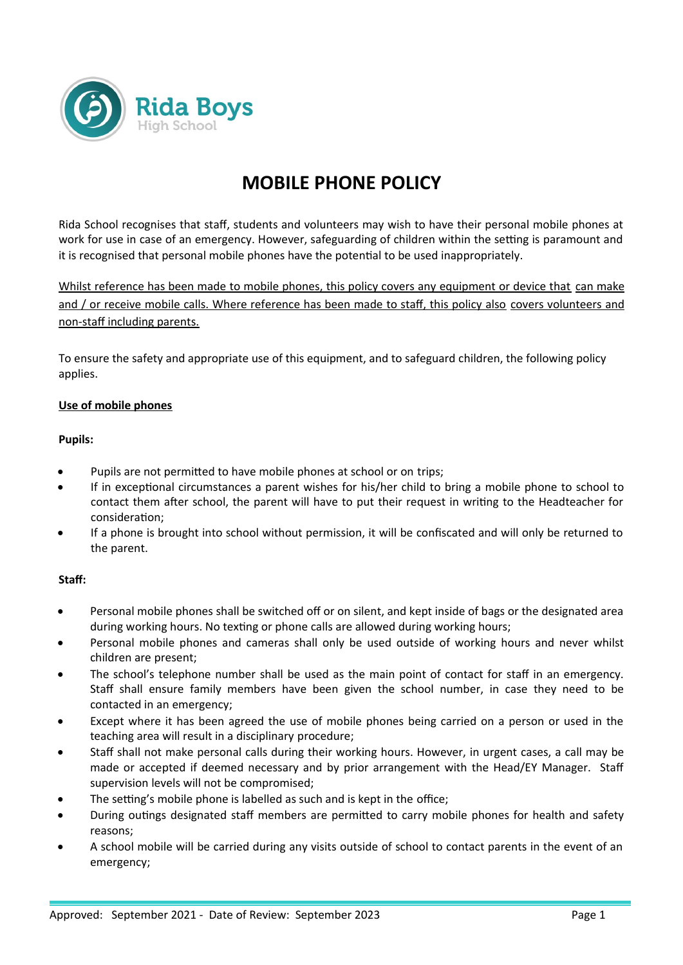

# **MOBILE PHONE POLICY**

Rida School recognises that staff, students and volunteers may wish to have their personal mobile phones at work for use in case of an emergency. However, safeguarding of children within the setting is paramount and it is recognised that personal mobile phones have the potential to be used inappropriately.

Whilst reference has been made to mobile phones, this policy covers any equipment or device that can make and / or receive mobile calls. Where reference has been made to staff, this policy also covers volunteers and non-staff including parents.

To ensure the safety and appropriate use of this equipment, and to safeguard children, the following policy applies.

## **Use of mobile phones**

#### **Pupils:**

- Pupils are not permitted to have mobile phones at school or on trips;
- If in exceptional circumstances a parent wishes for his/her child to bring a mobile phone to school to contact them after school, the parent will have to put their request in writing to the Headteacher for consideration;
- If a phone is brought into school without permission, it will be confiscated and will only be returned to the parent.

## **Staff:**

- Personal mobile phones shall be switched off or on silent, and kept inside of bags or the designated area during working hours. No texting or phone calls are allowed during working hours;
- Personal mobile phones and cameras shall only be used outside of working hours and never whilst children are present;
- The school's telephone number shall be used as the main point of contact for staff in an emergency. Staff shall ensure family members have been given the school number, in case they need to be contacted in an emergency;
- Except where it has been agreed the use of mobile phones being carried on a person or used in the teaching area will result in a disciplinary procedure;
- Staff shall not make personal calls during their working hours. However, in urgent cases, a call may be made or accepted if deemed necessary and by prior arrangement with the Head/EY Manager. Staff supervision levels will not be compromised;
- The setting's mobile phone is labelled as such and is kept in the office;
- During outings designated staff members are permitted to carry mobile phones for health and safety reasons;
- A school mobile will be carried during any visits outside of school to contact parents in the event of an emergency;